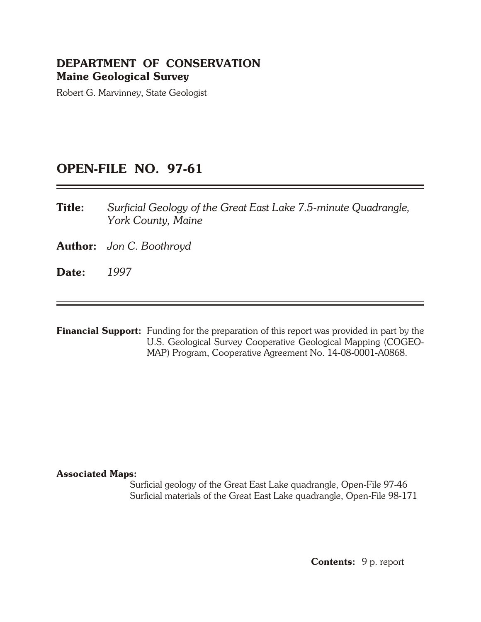## **DEPARTMENT OF CONSERVATION Maine Geological Survey**

Robert G. Marvinney, State Geologist

## **OPEN-FILE NO. 97-61**

- **Title:** *Surficial Geology of the Great East Lake 7.5-minute Quadrangle, York County, Maine*
- **Author:** *Jon C. Boothroyd*
- **Date:** *1997*

**Financial Support:** Funding for the preparation of this report was provided in part by the U.S. Geological Survey Cooperative Geological Mapping (COGEO-MAP) Program, Cooperative Agreement No. 14-08-0001-A0868.

### **As so ci ated Maps:**

Surficial geology of the Great East Lake quadrangle, Open-File 97-46 Surficial materials of the Great East Lake quadrangle, Open-File 98-171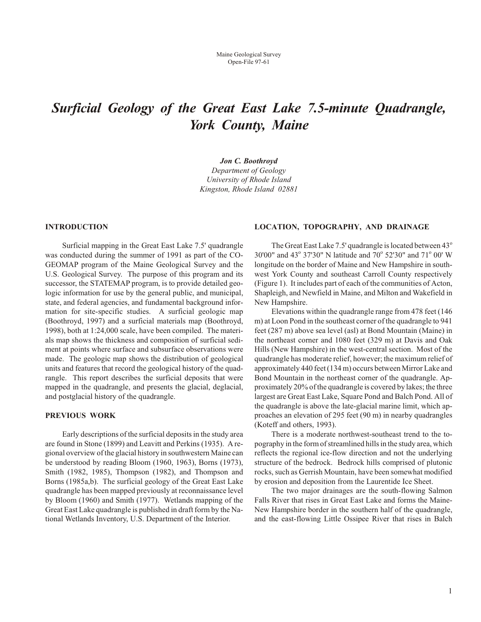# *Surficial Geology of the Great East Lake 7.5- minute Quadrangle, York County, Maine*

#### *Jon C. Boothroyd*

*Department of Geology Uni versity of Rhode Is land King ston, Rhode Island 02881*

#### **INTRODUCTION**

Surficial mapping in the Great East Lake 7.5' quadrangle was conducted during the summer of 1991 as part of the CO-GEOMAP program of the Maine Geological Survey and the U.S. Geological Survey. The purpose of this program and its successor, the STATEMAP program, is to provide detailed geologic information for use by the general public, and municipal, state, and federal agencies, and fundamental background information for site-specific studies. A surficial geologic map (Boothroyd, 1997) and a surficial materials map (Boothroyd, 1998), both at  $1:24,000$  scale, have been compiled. The materials map shows the thickness and composition of surficial sediment at points where surface and subsurface observations were made. The geologic map shows the distribution of geological units and features that record the geological history of the quadrangle. This report describes the surficial deposits that were mapped in the quadrangle, and presents the glacial, deglacial, and postglacial history of the quadrangle.

#### **PREVIOUS WORK**

Early descriptions of the surficial deposits in the study area are found in Stone (1899) and Leavitt and Perkins (1935). A re gional overview of the glacial history in southwestern Maine can be understood by reading Bloom (1960, 1963), Borns (1973), Smith  $(1982, 1985)$ , Thompson  $(1982)$ , and Thompson and Borns (1985a,b). The surficial geology of the Great East Lake quadrangle has been mapped previously at reconnaissance level by Bloom (1960) and Smith (1977). Wetlands mapping of the Great East Lake quadrangle is published in draft form by the National Wetlands Inventory, U.S. Department of the Interior.

#### **LOCATION, TOPOGRAPHY, AND DRAINAGE**

The Great East Lake 7.5' quadrangle is located between  $43^\circ$ 30'00" and 43° 37'30" N latitude and 70° 52'30" and 71° 00' W longitude on the border of Maine and New Hampshire in southwest York County and southeast Carroll County respectively (Figure 1). It includes part of each of the communities of Acton, Shapleigh, and Newfield in Maine, and Milton and Wakefield in New Hampshire.

Elevations within the quadrangle range from 478 feet (146) m) at Loon Pond in the southeast corner of the quadrangle to 941 feet (287 m) above sea level (asl) at Bond Mountain (Maine) in the northeast corner and 1080 feet (329 m) at Davis and Oak Hills (New Hampshire) in the west-central section. Most of the quadrangle has moderate relief, however; the maximum relief of approximately 440 feet (134 m) occurs between Mirror Lake and Bond Mountain in the northeast corner of the quadrangle. Approximately 20% of the quadrangle is covered by lakes; the three largest are Great East Lake, Square Pond and Balch Pond. All of the quadrangle is above the late-glacial marine limit, which approaches an elevation of 295 feet (90 m) in nearby quadrangles (Koteff and others, 1993).

There is a moderate northwest-southeast trend to the topography in the form of streamlined hills in the study area, which reflects the regional ice-flow direction and not the underlying structure of the bedrock. Bedrock hills comprised of plutonic rocks, such as Gerrish Mountain, have been somewhat modified by erosion and deposition from the Laurentide Ice Sheet.

The two major drainages are the south-flowing Salmon Falls River that rises in Great East Lake and forms the Maine-New Hampshire border in the southern half of the quadrangle, and the east-flowing Little Ossipee River that rises in Balch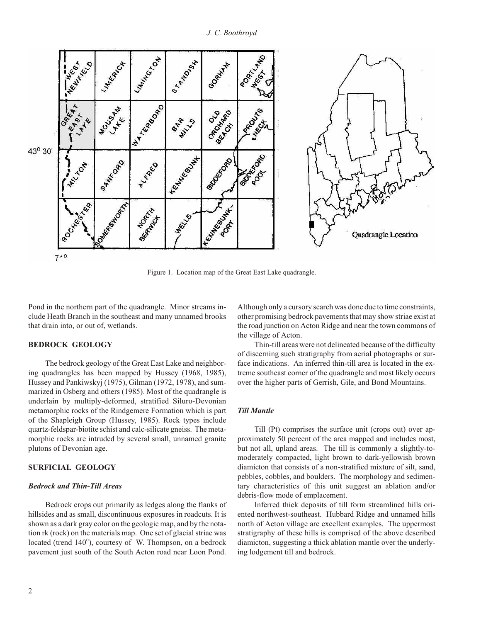

Figure 1. Location map of the Great East Lake quadrangle.

Pond in the northern part of the quadrangle. Minor streams include Heath Branch in the southeast and many unnamed brooks that drain into, or out of, wetlands.

#### **BEDROCK GEOLOGY**

The bedrock geology of the Great East Lake and neighboring quadrangles has been mapped by Hussey (1968, 1985), Hussey and Pankiwskyj (1975), Gilman (1972, 1978), and summarized in Osberg and others (1985). Most of the quadrangle is underlain by multiply-deformed, stratified Siluro-Devonian metamorphic rocks of the Rindgemere Formation which is part of the Shapleigh Group (Hussey, 1985). Rock types include quartz- feldspar- biotite schist and calc- silicate gneiss. The meta morphic rocks are intruded by several small, unnamed granite plutons of Devonian age.

#### **SURFICIAL GEOLOGY**

#### *Bedrock and Thin-Till Areas*

Bedrock crops out primarily as ledges along the flanks of hill sides and as small, discontinuous exposures in roadcuts. It is shown as a dark gray color on the geologic map, and by the notation rk (rock) on the materials map. One set of glacial striae was located (trend 140°), courtesy of W. Thompson, on a bedrock pave ment just south of the South Acton road near Loon Pond.

Although only a cursory search was done due to time constraints, other promising bedrock pavements that may show striae exist at the road junction on Acton Ridge and near the town commons of the village of Acton.

Thin-till areas were not delineated because of the difficulty of discerning such stratigraphy from aerial photographs or surface indications. An inferred thin-till area is located in the extreme southeast corner of the quadrangle and most likely occurs over the higher parts of Gerrish, Gile, and Bond Mountains.

#### *Till Mantle*

Till (Pt) comprises the surface unit (crops out) over approximately 50 percent of the area mapped and includes most, but not all, upland areas. The till is commonly a slightly-tomoderately compacted, light brown to dark-yellowish brown dia micton that consists of a non-stratified mixture of silt, sand, pebbles, cobbles, and boulders. The morphology and sedimentary characteristics of this unit suggest an ablation and/or debris-flow mode of emplacement.

Inferred thick deposits of till form streamlined hills oriented northwest-southeast. Hubbard Ridge and unnamed hills north of Acton village are excellent examples. The uppermost stratigraphy of these hills is comprised of the above described dia micton, suggesting a thick ablation mantle over the underlying lodgement till and bedrock.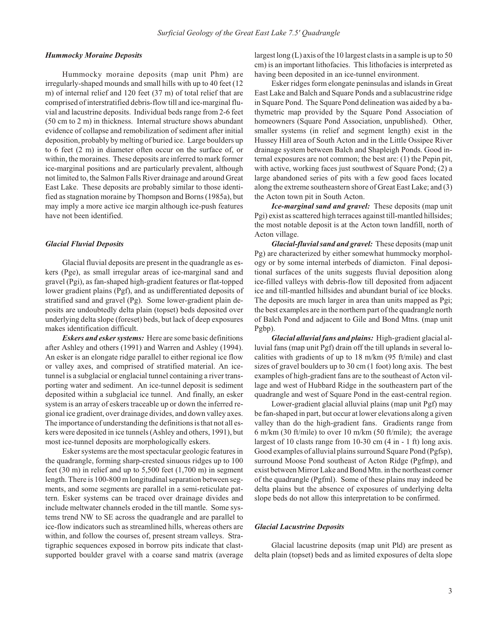#### **Hummocky Moraine Deposits**

Hummocky moraine deposits (map unit Phm) are irregularly- shaped mounds and small hills with up to 40 feet (12 m) of internal relief and 120 feet  $(37 \text{ m})$  of total relief that are comprised of interstratified debris-flow till and ice-marginal fluvial and lacustrine deposits. Individual beds range from 2-6 feet  $(50 \text{ cm to } 2 \text{ m})$  in thickness. Internal structure shows abundant evidence of collapse and remobilization of sediment after initial deposition, probably by melting of buried ice. Large boulders up to 6 feet  $(2 \text{ m})$  in diameter often occur on the surface of, or within, the moraines. These deposits are inferred to mark former ice-marginal positions and are particularly prevalent, although not limited to, the Salmon Falls River drain age and around Great East Lake. These deposits are probably similar to those identified as stagnation moraine by Thompson and Borns (1985a), but may imply a more active ice margin although ice-push features have not been identified.

#### *Glacial Fluvial Deposits*

Glacial fluvial deposits are present in the quadrangle as eskers (Pge), as small irregular areas of ice-marginal sand and gravel (Pgi), as fan-shaped high-gradient features or flat-topped lower gradient plains (Pgf), and as undifferentiated deposits of stratified sand and gravel (Pg). Some lower-gradient plain deposits are undoubtedly delta plain (topset) beds deposited over underlying delta slope (foreset) beds, but lack of deep exposures makes identification difficult.

*Eskers and esker systems:* Here are some basic definitions after Ashley and others (1991) and Warren and Ashley (1994). An esker is an elongate ridge parallel to either regional ice flow or valley axes, and comprised of stratified material. An icetunnel is a subglacial or englacial tunnel containing a river transporting water and sediment. An ice-tunnel deposit is sediment deposited within a subglacial ice tunnel. And finally, an esker system is an array of eskers traceable up or down the inferred regional ice gradient, over drainage divides, and down valley axes. The importance of understanding the definitions is that not all eskers were deposited in ice tunnels (Ashley and others, 1991), but most ice-tunnel deposits are morphologically eskers.

Esker systems are the most spectacular geologic features in the quadrangle, forming sharp-crested sinuous ridges up to 100 feet (30 m) in relief and up to  $5{,}500$  feet (1,700 m) in segment length. There is 100-800 m longitudinal separation between segments, and some segments are parallel in a semi-reticulate pattern. Esker systems can be traced over drainage divides and include meltwater channels eroded in the till mantle. Some systems trend NW to SE across the quadrangle and are parallel to ice-flow indicators such as streamlined hills, whereas others are within, and follow the courses of, present stream valleys. Stratigraphic sequences exposed in borrow pits indicate that clastsupported boulder gravel with a coarse sand matrix (average largest long  $(L)$  axis of the 10 largest clasts in a sample is up to 50 cm) is an important lithofacies. This lithofacies is interpreted as having been deposited in an ice-tunnel environment.

Esker ridges form elongate peninsulas and islands in Great East Lake and Balch and Square Ponds and a sublacustrine ridge in Square Pond. The Square Pond delineation was aided by a bathymetric map provided by the Square Pond Association of homeowners (Square Pond Association, unpublished). Other, smaller systems (in relief and segment length) exist in the Hussey Hill area of South Acton and in the Little Ossipee River drainage system between Balch and Shapleigh Ponds. Good internal exposures are not common; the best are:  $(1)$  the Pepin pit, with active, working faces just southwest of Square Pond; (2) a large abandoned series of pits with a few good faces located along the extreme south eastern shore of Great East Lake; and (3) the Acton town pit in South Acton.

*Ice-marginal sand and gravel:* These deposits (map unit Pgi) exist as scattered high terraces against till-mantled hillsides; the most notable deposit is at the Acton town landfill, north of Acton village.

*Glacial-fluvial sand and gravel:* These deposits (map unit Pg) are characterized by either somewhat hummocky morphology or by some internal interbeds of diamicton. Final depositional surfaces of the units suggests fluvial deposition along ice-filled valleys with debris-flow till deposited from adjacent ice and till-mantled hill sides and abundant burial of ice blocks. The deposits are much larger in area than units mapped as Pgi; the best examples are in the northern part of the quadrangle north of Balch Pond and adjacent to Gile and Bond Mtns. (map unit Pgbp).

*Glacial alluvial fans and plains: High-gradient glacial al*luvial fans (map unit Pgf) drain off the till uplands in several localities with gradients of up to  $18 \text{ m/km}$  (95 ft/mile) and clast sizes of gravel boulders up to 30 cm (1 foot) long axis. The best examples of high-gradient fans are to the southeast of Acton village and west of Hubbard Ridge in the southeastern part of the quadrangle and west of Square Pond in the east-central region.

Lower-gradient glacial alluvial plains (map unit Pgf) may be fan-shaped in part, but occur at lower elevations along a given valley than do the high-gradient fans. Gradients range from 6 m/km (30 ft/mile) to over 10 m/km (50 ft/mile); the average largest of 10 clasts range from  $10-30$  cm  $(4 \text{ in } -1 \text{ ft})$  long axis. Good examples of alluvial plains surround Square Pond (Pgfsp), surround Moose Pond southeast of Acton Ridge (Pgfmp), and exist between Mirror Lake and Bond Mtn. in the northeast corner of the quadrangle (Pgfml). Some of these plains may indeed be delta plains but the absence of exposures of underlying delta slope beds do not allow this interpretation to be confirmed.

#### *Gla cial La cus trine De pos its*

Glacial lacustrine deposits (map unit Pld) are present as delta plain (topset) beds and as limited exposures of delta slope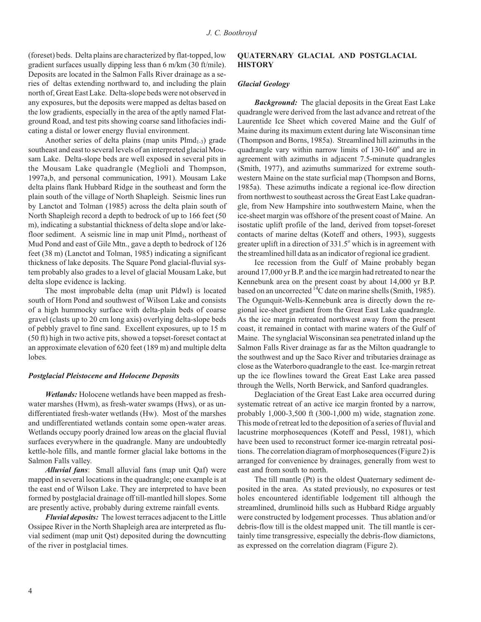(foreset) beds. Delta plains are characterized by flat-topped, low gradient surfaces usually dipping less than  $6 \text{ m/km}$  (30 ft/mile). Deposits are located in the Salmon Falls River drainage as a series of deltas extending northward to, and including the plain north of, Great East Lake. Delta-slope beds were not observed in any exposures, but the deposits were mapped as deltas based on the low gradients, especially in the area of the aptly named Flatground Road, and test pits showing coarse sand lithofacies indicating a distal or lower energy fluvial environment.

Another series of delta plains (map units  $Plmd_{1-3}$ ) grade southeast and east to several levels of an interpreted glacial Mousam Lake. Delta-slope beds are well exposed in several pits in the Mousam Lake quadrangle (Meglioli and Thompson, 1997a,b, and personal communication, 1991). Mousam Lake delta plains flank Hubbard Ridge in the southeast and form the plain south of the village of North Shapleigh. Seismic lines run by Lanctot and Tolman (1985) across the delta plain south of North Shapleigh record a depth to bedrock of up to 166 feet (50) m), indicating a substantial thickness of delta slope and/or lakefloor sediment. A seismic line in map unit  $P$ lmd<sub>3</sub>, northeast of Mud Pond and east of Gile Mtn., gave a depth to bedrock of 126 feet  $(38 \text{ m})$  (Lanctot and Tolman, 1985) indicating a significant thickness of lake deposits. The Square Pond glacial-fluvial system probably also grades to a level of glacial Mousam Lake, but delta slope evidence is lacking.

The most improbable delta (map unit Pldwl) is located south of Horn Pond and southwest of Wilson Lake and consists of a high hummocky surface with delta-plain beds of coarse gravel (clasts up to 20 cm long axis) overlying delta-slope beds of pebbly gravel to fine sand. Excellent exposures, up to 15 m  $(50 \text{ ft})$  high in two active pits, showed a topset-foreset contact at an approximate elevation of 620 feet (189 m) and multiple delta lobes.

#### **Postglacial Pleistocene and Holocene Deposits**

*Wetlands:* Holocene wetlands have been mapped as freshwater marshes (Hwm), as fresh-water swamps (Hws), or as undifferentiated fresh-water wetlands (Hw). Most of the marshes and undifferentiated wetlands contain some open-water areas. Wetlands occupy poorly drained low areas on the glacial fluvial surfaces everywhere in the quadrangle. Many are undoubtedly kettle-hole fills, and mantle former glacial lake bottoms in the Salmon Falls valley.

*Alluvial fans*: Small alluvial fans (map unit Qaf) were mapped in several locations in the quadrangle; one example is at the east end of Wilson Lake. They are interpreted to have been formed by postglacial drainage off till-mantled hill slopes. Some are presently active, probably during extreme rainfall events.

*Fluvial deposits:* The lowest terraces adjacent to the Little Ossipee River in the North Shapleigh area are interpreted as fluvial sediment (map unit Qst) deposited during the downcutting of the river in postglacial times.

#### **QUATERNARY GLACIAL AND POSTGLACIAL HISTORY**

#### *Gla cial Ge ol ogy*

**Background:** The glacial deposits in the Great East Lake quadrangle were derived from the last advance and retreat of the Laurentide Ice Sheet which covered Maine and the Gulf of Maine during its maximum extent during late Wisconsinan time (Thompson and Borns, 1985a). Streamlined hill azimuths in the quadrangle vary within narrow limits of 130-160° and are in agreement with azimuths in adjacent 7.5-minute quadrangles (Smith, 1977), and azimuths summarized for extreme southwestern Maine on the state surficial map (Thompson and Borns, 1985a). These azimuths indicate a regional ice-flow direction from northwest to southeast across the Great East Lake quadrangle, from New Hampshire into southwestern Maine, when the ice-sheet margin was offshore of the present coast of Maine. An isostatic uplift profile of the land, derived from topset-foreset contacts of marine deltas (Koteff and others, 1993), suggests greater uplift in a direction of  $331.5^\circ$  which is in agreement with the stream lined hill data as an indicator of regional ice gradient.

Ice recession from the Gulf of Maine probably began around 17,000 yr B.P. and the ice margin had retreated to near the Kennebunk area on the present coast by about 14,000 yr B.P. based on an uncorrected  ${}^{14}C$  date on marine shells (Smith, 1985). The Ogunquit-Wells-Kennebunk area is directly down the regional ice-sheet gradient from the Great East Lake quadrangle. As the ice margin retreated northwest away from the present coast, it remained in contact with marine waters of the Gulf of Maine. The synglacial Wisconsinan sea penetrated inland up the Salmon Falls River drainage as far as the Milton quadrangle to the southwest and up the Saco River and tributaries drainage as close as the Waterboro quadrangle to the east. Ice-margin retreat up the ice flowlines toward the Great East Lake area passed through the Wells, North Berwick, and Sanford quadrangles.

Deglaciation of the Great East Lake area occurred during systematic retreat of an active ice margin fronted by a narrow, probably  $1,000-3,500$  ft  $(300-1,000$  m) wide, stagnation zone. This mode of retreat led to the deposition of a series of fluvial and lacustrine morphosequences (Koteff and Pessl, 1981), which have been used to reconstruct former ice-margin retreatal positions. The correlation diagram of morphose quences (Figure 2) is arranged for convenience by drainages, generally from west to east and from south to north.

The till mantle (Pt) is the oldest Quaternary sediment deposited in the area. As stated previously, no exposures or test holes encountered identifiable lodgement till although the streamlined, drumlinoid hills such as Hubbard Ridge arguably were constructed by lodgement processes. Thus ablation and/or debris-flow till is the oldest mapped unit. The till mantle is certainly time transgressive, especially the debris-flow diamictons, as expressed on the correlation diagram (Figure 2).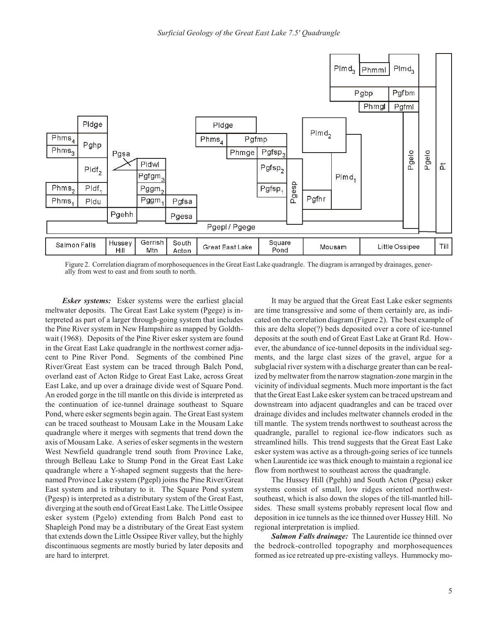

Figure 2. Correlation diagram of morphosequences in the Great East Lake quadrangle. The diagram is arranged by drainages, generally from west to east and from south to north.

*Esker systems:* Esker systems were the earliest glacial meltwater deposits. The Great East Lake system (Pgege) is interpreted as part of a larger through-going system that includes the Pine River system in New Hampshire as mapped by Goldthwait (1968). Deposits of the Pine River esker system are found in the Great East Lake quadrangle in the northwest corner adjacent to Pine River Pond. Segments of the combined Pine River/Great East system can be traced through Balch Pond, overland east of Acton Ridge to Great East Lake, across Great East Lake, and up over a drainage divide west of Square Pond. An eroded gorge in the till mantle on this divide is interpreted as the continuation of ice-tunnel drainage southeast to Square Pond, where esker segments begin again. The Great East system can be traced southeast to Mousam Lake in the Mousam Lake quadrangle where it merges with segments that trend down the axis of Mousam Lake. A series of esker segments in the western West New field quadrangle trend south from Province Lake, through Belleau Lake to Stump Pond in the Great East Lake quadrangle where a Y-shaped segment suggests that the herenamed Province Lake system (Pgepl) joins the Pine River/Great East system and is tributary to it. The Square Pond system (Pgesp) is interpreted as a distributary system of the Great East, diverging at the south end of Great East Lake. The Little Ossipee esker system (Pgelo) extending from Balch Pond east to Shapleigh Pond may be a distributary of the Great East system that extends down the Little Ossipee River valley, but the highly discontinuous segments are mostly buried by later deposits and are hard to in terpret.

It may be argued that the Great East Lake esker segments are time transgressive and some of them certainly are, as indicated on the correlation diagram (Figure 2). The best example of this are delta slope(?) beds deposited over a core of ice-tunnel deposits at the south end of Great East Lake at Grant Rd. However, the abundance of ice-tunnel deposits in the individual segments, and the large clast sizes of the gravel, argue for a subglacial river system with a discharge greater than can be realized by meltwater from the narrow stagnation-zone margin in the vicinity of individual segments. Much more important is the fact that the Great East Lake esker system can be traced upstream and down stream into adjacent quadrangles and can be traced over drainage divides and includes meltwater channels eroded in the till mantle. The system trends northwest to southeast across the quadrangle, parallel to regional ice-flow indicators such as streamlined hills. This trend suggests that the Great East Lake esker system was active as a through-going series of ice tunnels when Laurentide ice was thick enough to maintain a regional ice flow from northwest to southeast across the quadrangle.

The Hussey Hill (Pgehh) and South Acton (Pgesa) esker systems consist of small, low ridges oriented northwestsoutheast, which is also down the slopes of the till-mantled hillsides. These small systems probably represent local flow and deposition in ice tunnels as the ice thinned over Hussey Hill. No regional interpretation is implied.

**Salmon Falls drainage:** The Laurentide ice thinned over the bedrock-controlled topography and morphosequences formed as ice retreated up pre-existing valleys. Hummocky mo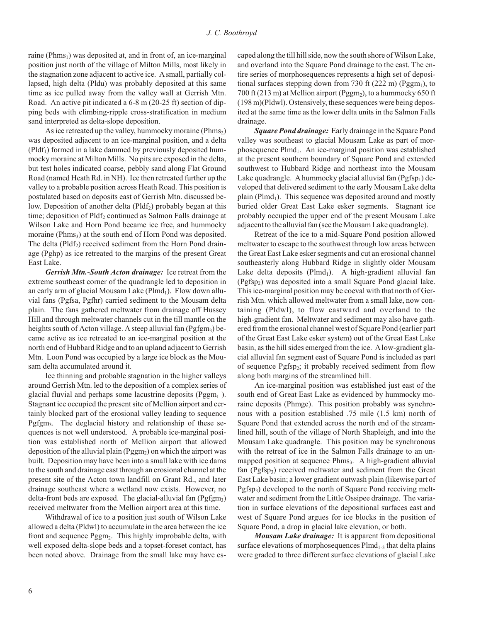raine (Phms<sub>1</sub>) was deposited at, and in front of, an ice-marginal position just north of the village of Milton Mills, most likely in the stagnation zone adjacent to active ice. A small, partially collapsed, high delta (Pldu) was probably deposited at this same time as ice pulled away from the valley wall at Gerrish Mtn. Road. An active pit indicated a  $6-8$  m (20-25 ft) section of dipping beds with climbing-ripple cross-stratification in medium sand interpreted as delta-slope deposition.

As ice retreated up the valley, hummocky moraine (Phms<sub>2</sub>) was deposited adjacent to an ice-marginal position, and a delta  $(Pldf<sub>1</sub>)$  formed in a lake dammed by previously deposited hummocky moraine at Milton Mills. No pits are exposed in the delta, but test holes indicated coarse, pebbly sand along Flat Ground Road (named Heath Rd. in NH). Ice then retreated further up the valley to a probable position across Heath Road. This position is postulated based on deposits east of Gerrish Mtn. discussed below. Deposition of another delta ( $Pldf<sub>2</sub>$ ) probably began at this time; deposition of Pldf<sub>2</sub> continued as Salmon Falls drainage at Wilson Lake and Horn Pond became ice free, and hummocky moraine ( $Phms<sub>3</sub>$ ) at the south end of Horn Pond was deposited. The delta (Pldf<sub>2</sub>) received sediment from the Horn Pond drainage (Pghp) as ice retreated to the margins of the present Great East Lake.

Gerrish Mtn.-South Acton drainage: Ice retreat from the extreme southeast corner of the quadrangle led to deposition in an early arm of glacial Mousam Lake ( $Plmd<sub>1</sub>$ ). Flow down alluvial fans (Pgfsa, Pgfhr) carried sediment to the Mousam delta plain. The fans gathered meltwater from drainage off Hussey Hill and through meltwater channels cut in the till mantle on the heights south of Acton village. A steep alluvial fan (Pgfgm<sub>3</sub>) became active as ice retreated to an ice-marginal position at the north end of Hubbard Ridge and to an upland adjacent to Gerrish Mtn. Loon Pond was occupied by a large ice block as the Mousam delta accumulated around it.

Ice thinning and probable stagnation in the higher valleys around Gerrish Mtn. led to the deposition of a complex series of glacial fluvial and perhaps some lacustrine deposits ( $Pggm<sub>1</sub>$ ). Stagnant ice occupied the present site of Mellion airport and certainly blocked part of the erosional valley leading to sequence Pgfgm<sub>3</sub>. The deglacial history and relationship of these sequences is not well understood. A probable ice-marginal position was established north of Mellion airport that allowed deposition of the alluvial plain ( $Pggm<sub>2</sub>$ ) on which the airport was built. Deposition may have been into a small lake with ice dams to the south and drainage east through an erosional channel at the present site of the Acton town landfill on Grant Rd., and later drainage southeast where a wetland now exists. However, no delta-front beds are exposed. The glacial-alluvial fan  $(Pgfgm<sub>3</sub>)$ received meltwater from the Mellion airport area at this time.

Withdrawal of ice to a position just south of Wilson Lake allowed a delta (Pldwl) to accumulate in the area between the ice front and sequence Pggm<sub>2</sub>. This highly improbable delta, with well exposed delta-slope beds and a topset-foreset contact, has been noted above. Drainage from the small lake may have escaped along the till hill side, now the south shore of Wilson Lake, and overland into the Square Pond drainage to the east. The entire series of morphosequences represents a high set of depositional surfaces stepping down from 730 ft (222 m) (Pggm<sub>1</sub>), to 700 ft (213 m) at Mellion airport (Pggm<sub>2</sub>), to a hummocky 650 ft  $(198 \text{ m})(Pldwl)$ . Ostensively, these sequences were being deposited at the same time as the lower delta units in the Salmon Falls drainage.

*Square Pond drainage: Early drainage in the Square Pond* valley was southeast to glacial Mousam Lake as part of morphose quence  $Plmd_1$ . An ice-marginal position was established at the present southern boundary of Square Pond and extended southwest to Hubbard Ridge and northeast into the Mousam Lake quadrangle. A hummocky glacial alluvial fan  $(Pg fsp_1)$  developed that delivered sediment to the early Mousam Lake delta plain ( $Plmd<sub>1</sub>$ ). This sequence was deposited around and mostly buried older Great East Lake esker segments. Stagnant ice probably occupied the upper end of the present Mousam Lake adjacent to the alluvial fan (see the Mousam Lake quadrangle).

Retreat of the ice to a mid-Square Pond position allowed melt water to escape to the south west through low areas between the Great East Lake esker segments and cut an erosional channel southeasterly along Hubbard Ridge in slightly older Mousam Lake delta deposits (Plmd<sub>1</sub>). A high-gradient alluvial fan  $(Pgfsp<sub>2</sub>)$  was deposited into a small Square Pond glacial lake. This ice-marginal position may be coeval with that north of Gerrish Mtn. which allowed meltwater from a small lake, now containing (Pldwl), to flow eastward and overland to the high-gradient fan. Meltwater and sediment may also have gathered from the erosional channel west of Square Pond (earlier part of the Great East Lake esker system) out of the Great East Lake basin, as the hill sides emerged from the ice. A low-gradient glacial alluvial fan segment east of Square Pond is included as part of sequence Pgfsp<sub>2</sub>; it probably received sediment from flow along both margins of the streamlined hill.

An ice-marginal position was established just east of the south end of Great East Lake as evidenced by hummocky moraine deposits (Phmge). This position probably was synchronous with a position established .75 mile (1.5 km) north of Square Pond that extended across the north end of the streamlined hill, south of the village of North Shapleigh, and into the Mousam Lake quadrangle. This position may be synchronous with the retreat of ice in the Salmon Falls drainage to an unmapped position at sequence Phms<sub>3</sub>. A high-gradient alluvial fan (Pgfsp<sub>3</sub>) received meltwater and sediment from the Great East Lake basin; a lower gradient outwash plain (likewise part of Pgfsp<sub>3</sub>) developed to the north of Square Pond receiving meltwater and sediment from the Little Ossipee drainage. The variation in surface elevations of the depositional surfaces east and west of Square Pond argues for ice blocks in the position of Square Pond, a drop in glacial lake elevation, or both.

*Mousam Lake drainage:* It is apparent from depositional surface elevations of morphose quences  $P$ lmd<sub>1-3</sub> that delta plains were graded to three different surface elevations of glacial Lake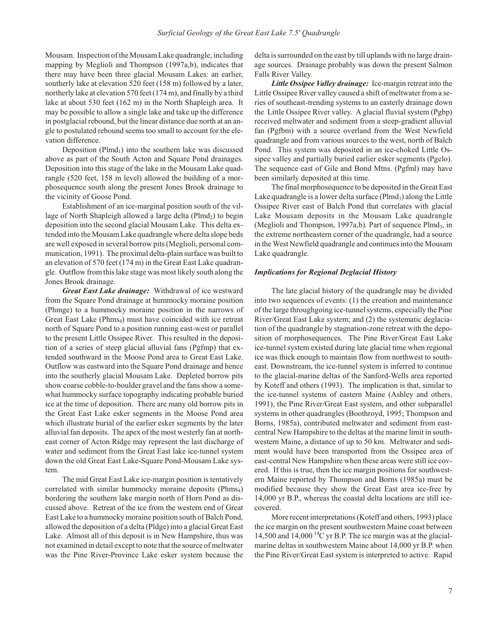Mousam. Inspection of the Mousam Lake quadrangle, including mapping by Meglioli and Thompson (1997a,b), indicates that there may have been three glacial Mousam Lakes: an earlier, southerly lake at elevation 520 feet (158 m) followed by a later, northerly lake at elevation 570 feet  $(174 \text{ m})$ , and finally by a third lake at about 530 feet (162 m) in the North Shapleigh area. It may be possible to allow a single lake and take up the difference in postglacial rebound, but the linear distance due north at an angle to postulated rebound seems too small to account for the elevation difference.

Deposition (Plmd<sub>1</sub>) into the southern lake was discussed above as part of the South Acton and Square Pond drainages. Deposition into this stage of the lake in the Mousam Lake quadrangle (520 feet, 158 m level) allowed the building of a morphose quence south along the present Jones Brook drainage to the vicinity of Goose Pond.

Establishment of an ice-marginal position south of the village of North Shapleigh allowed a large delta ( $Plmd<sub>2</sub>$ ) to begin deposition into the second glacial Mousam Lake. This delta extended into the Mousam Lake quadrangle where delta slope beds are well exposed in several borrow pits (Meglioli, personal communication, 1991). The proximal delta-plain surface was built to an elevation of 570 feet (174 m) in the Great East Lake quadrangle. Outflow from this lake stage was most likely south along the Jones Brook drainage.

Great East Lake drainage: Withdrawal of ice westward from the Square Pond drainage at hummocky moraine position (Phmge) to a hummocky moraine position in the narrows of Great East Lake (Phms<sub>4</sub>) must have coincided with ice retreat north of Square Pond to a position running east-west or parallel to the present Little Ossipee River. This resulted in the deposition of a series of steep glacial alluvial fans (Pgfmp) that extended southward in the Moose Pond area to Great East Lake. Outflow was eastward into the Square Pond drainage and hence into the southerly glacial Mousam Lake. Depleted borrow pits show coarse cobble-to- boulder gravel and the fans show a some what hummocky surface topography indicating probable buried ice at the time of deposition. There are many old borrow pits in the Great East Lake esker segments in the Moose Pond area which illustrate burial of the earlier esker segments by the later alluvial fan deposits. The apex of the most westerly fan at northeast corner of Acton Ridge may represent the last discharge of water and sediment from the Great East lake ice-tunnel system down the old Great East Lake-Square Pond-Mousam Lake system.

The mid Great East Lake ice-margin position is tentatively correlated with similar hummocky moraine deposits ( $Phms<sub>4</sub>$ ) bordering the southern lake margin north of Horn Pond as discussed above. Retreat of the ice from the western end of Great East Lake to a hummocky moraine position south of Balch Pond, allowed the deposition of a delta (Pldge) into a glacial Great East Lake. Almost all of this deposit is in New Hampshire, thus was not examined in detail except to note that the source of meltwater was the Pine River-Province Lake esker system because the delta is surrounded on the east by till uplands with no large drainage sources. Drainage probably was down the present Salmon Falls River Valley.

*Little Ossipee Valley drainage:* Ice-margin retreat into the Little Ossipee River valley caused a shift of meltwater from a series of southeast-trending systems to an easterly drainage down the Little Ossipee River valley. A glacial fluvial system (Pgbp) received meltwater and sediment from a steep-gradient alluvial fan (Pgfbm) with a source overland from the West Newfield quadrangle and from various sources to the west, north of Balch Pond. This system was deposited in an ice-choked Little Ossipee valley and partially buried earlier esker segments (Pgelo). The sequence east of Gile and Bond Mtns. (Pgfml) may have been similarly deposited at this time.

The final morphosequence to be deposited in the Great East Lake quadrangle is a lower delta surface ( $Plmd<sub>3</sub>$ ) along the Little Ossipee River east of Balch Pond that correlates with glacial Lake Mousam deposits in the Mousam Lake quadrangle (Meglioli and Thompson, 1997a,b). Part of sequence  $Plmd<sub>3</sub>$ , in the extreme northeastern corner of the quadrangle, had a source in the West Newfield quadrangle and continues into the Mousam Lake quadrangle.

#### *Implications for Regional Deglacial History*

The late glacial history of the quadrangle may be divided into two sequences of events:  $(1)$  the creation and maintenance of the large through going ice-tunnel systems, especially the Pine River/Great East Lake system; and (2) the systematic deglaciation of the quadrangle by stagnation-zone retreat with the deposition of morphosequences. The Pine River/Great East Lake ice-tunnel system existed during late glacial time when regional ice was thick enough to maintain flow from northwest to southeast. Downstream, the ice-tunnel system is inferred to continue to the glacial-marine deltas of the Sanford-Wells area reported by Koteff and others (1993). The implication is that, similar to the ice-tunnel systems of eastern Maine (Ashley and others, 1991), the Pine River/Great East system, and other subparallel systems in other quadrangles (Boothroyd, 1995; Thompson and Borns, 1985a), contributed meltwater and sediment from eastcentral New Hampshire to the deltas at the marine limit in southwestern Maine, a distance of up to 50 km. Meltwater and sediment would have been transported from the Ossipee area of east-central New Hampshire when these areas were still ice covered. If this is true, then the ice margin positions for southwestern Maine reported by Thompson and Borns (1985a) must be modified because they show the Great East area ice-free by 14,000 yr B.P., whereas the coastal delta locations are still icecovered.

More recent interpretations (Koteff and others, 1993) place the ice margin on the present southwestern Maine coast between 14,500 and 14,000  $^{14}$ C yr B.P. The ice margin was at the glacialmarine deltas in southwestern Maine about 14,000 yr B.P. when the Pine River/Great East system is interpreted to active. Rapid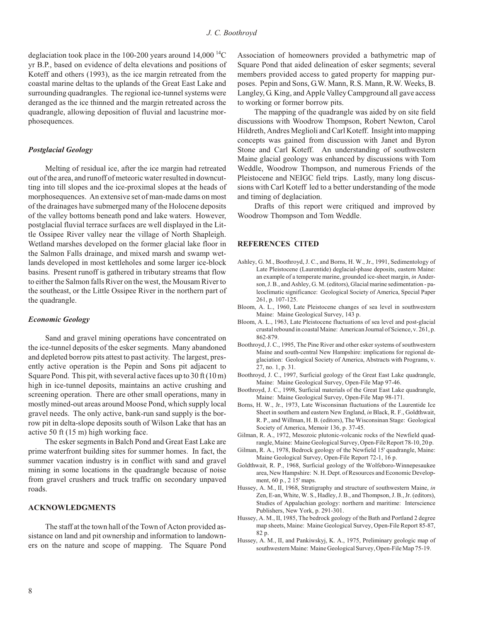deglaciation took place in the 100-200 years around  $14,000^{14}$ C yr B.P., based on evidence of delta elevations and positions of Koteff and others (1993), as the ice margin retreated from the coastal marine deltas to the uplands of the Great East Lake and surrounding quadrangles. The regional ice-tunnel systems were deranged as the ice thinned and the margin retreated across the quadrangle, allowing deposition of fluvial and lacustrine morphosequences.

#### **Postglacial Geology**

Melting of residual ice, after the ice margin had retreated out of the area, and runoff of meteoric water resulted in downcutting into till slopes and the ice- proximal slopes at the heads of morphose quences. An extensive set of man-made dams on most of the drainages have submerged many of the Holocene deposits of the valley bottoms beneath pond and lake waters. However, postglacial fluvial terrace surfaces are well displayed in the Little Ossipee River valley near the village of North Shapleigh. Wetland marshes developed on the former glacial lake floor in the Salmon Falls drainage, and mixed marsh and swamp wetlands developed in most kettleholes and some larger ice-block basins. Present runoff is gathered in tributary streams that flow to either the Salmon falls River on the west, the Mousam River to the southeast, or the Little Ossipee River in the northern part of the quadrangle.

#### *Eco nomic Ge ol ogy*

Sand and gravel mining operations have concentrated on the ice-tunnel deposits of the esker segments. Many abandoned and depleted borrow pits attest to past activity. The largest, presently active operation is the Pepin and Sons pit adjacent to Square Pond. This pit, with several active faces up to  $30 \text{ ft} (10 \text{ m})$ high in ice-tunnel deposits, maintains an active crushing and screening operation. There are other small operations, many in mostly mined-out areas around Moose Pond, which supply local gravel needs. The only active, bank-run sand supply is the borrow pit in delta-slope deposits south of Wilson Lake that has an active 50 ft  $(15 \text{ m})$  high working face.

The esker segments in Balch Pond and Great East Lake are prime waterfront building sites for summer homes. In fact, the summer vacation industry is in conflict with sand and gravel mining in some locations in the quadrangle because of noise from gravel crushers and truck traffic on secondary unpaved roads.

#### **ACKNOWLEDGMENTS**

The staff at the town hall of the Town of Acton provided assistance on land and pit ownership and information to landowners on the nature and scope of mapping. The Square Pond Association of homeowners provided a bathymetric map of Square Pond that aided delineation of esker segments; several members provided access to gated property for mapping purposes. Pepin and Sons, G.W. Mann, R.S. Mann, R.W. Weeks, B. Langley, G. King, and Apple Valley Camp ground all gave access to working or former borrow pits.

The mapping of the quadrangle was aided by on site field discussions with Woodrow Thompson, Robert Newton, Carol Hildreth, Andres Meglioli and Carl Koteff. Insight into mapping concepts was gained from discussion with Janet and Byron Stone and Carl Koteff. An understanding of southwestern Maine glacial geology was enhanced by discussions with Tom Weddle, Woodrow Thompson, and numerous Friends of the Pleistocene and NEIGC field trips. Lastly, many long discussions with Carl Koteff led to a better understanding of the mode and timing of deglaciation.

Drafts of this report were critiqued and improved by Woodrow Thompson and Tom Weddle.

#### **REFERENCES CITED**

- Ashley, G. M., Boothroyd, J. C., and Borns, H. W., Jr., 1991, Sedimentology of Late Pleistocene (Laurentide) deglacial-phase deposits, eastern Maine: an example of a temperate marine, grounded ice-sheet margin, in Anderson, J. B., and Ashley, G. M. (editors), Glacial marine sedimentation - paleoclimatic significance: Geological Society of America, Special Paper 261, p. 107-125.
- Bloom, A. L., 1960, Late Pleistocene changes of sea level in southwestern Maine: Maine Geological Survey, 143 p.
- Bloom, A. L., 1963, Late Pleistocene fluctuations of sea level and post-glacial crustal rebound in coastal Maine: American Journal of Science, v. 261, p. 862- 879.
- Boothroyd, J. C., 1995, The Pine River and other esker systems of southwestern Maine and south-central New Hampshire: implications for regional deglaciation: Geological Society of America, Abstracts with Programs, v. 27, no. 1, p. 31.
- Boothroyd, J. C., 1997, Surficial geology of the Great East Lake quadrangle, Maine: Maine Geological Survey, Open-File Map 97-46.
- Boothroyd, J. C., 1998, Surficial materials of the Great East Lake quadrangle, Maine: Maine Geological Survey, Open-File Map 98-171.
- Borns, H. W., Jr., 1973, Late Wisconsinan fluctuations of the Laurentide Ice Sheet in southern and eastern New England, *in* Black, R. F., Goldthwait, R. P., and Willman, H. B. (editors), The Wisconsinan Stage: Geological Society of America, Memoir 136, p. 37-45.
- Gilman, R. A., 1972, Mesozoic plutonic-volcanic rocks of the Newfield quadrangle, Maine: Maine Geological Survey, Open-File Report 78-10, 20 p.
- Gilman, R. A., 1978, Bedrock geology of the Newfield 15' quadrangle, Maine: Maine Geological Survey, Open-File Report 72-1, 16 p.
- Goldthwait, R. P., 1968, Surficial geology of the Wolfeboro-Winnepesaukee area, New Hampshire: N. H. Dept. of Resources and Economic Development, 60 p., 2 15' maps.
- Hussey, A. M., II, 1968, Stratigraphy and structure of southwestern Maine, in Zen, E-an, White, W. S., Hadley, J. B., and Thompson, J. B., Jr. (editors), Studies of Appalachian geology: northern and maritime: Interscience Publishers, New York, p. 291-301.
- Hussey, A. M., II, 1985, The bedrock geology of the Bath and Portland 2 degree map sheets, Maine: Maine Geological Survey, Open-File Report 85-87, 82 p.
- Hussey, A. M., II, and Pankiwskyj, K. A., 1975, Preliminary geologic map of southwestern Maine: Maine Geological Survey, Open-File Map 75-19.